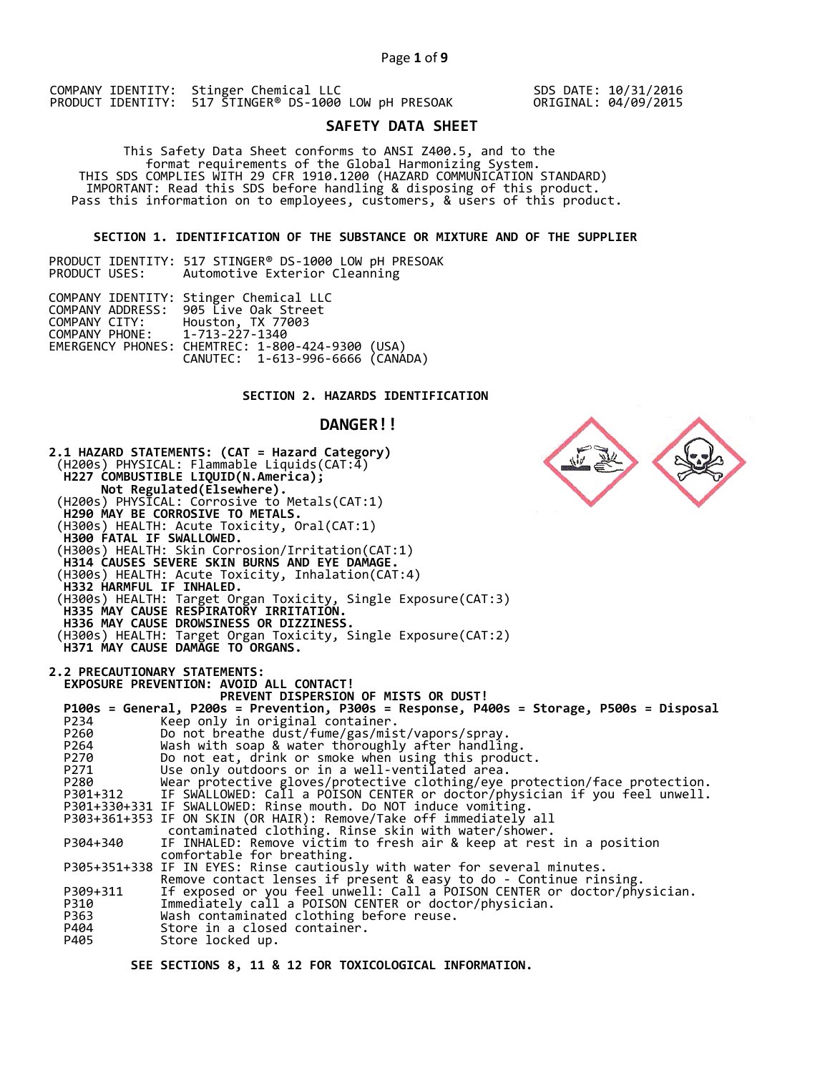SDS DATE: 10/31/2016 ORIGINAL: 04/09/2015

# **SAFETY DATA SHEET**

This Safety Data Sheet conforms to ANSI Z400.5, and to the<br>format requirements of the Global Harmonizing System.<br>THIS SDS COMPLIES WITH 29 CFR 1910.1200 (HAZARD COMMUNICATION STANDARD)<br>IMPORTANT: Read this SDS before handl

### **SECTION 1. IDENTIFICATION OF THE SUBSTANCE OR MIXTURE AND OF THE SUPPLIER**

PRODUCT IDENTITY: 517 STINGER® DS-1000 LOW pH PRESOAK<br>PRODUCT USES: Automotive Exterior Cleanning Automotive Exterior Cleanning

|                               | COMPANY IDENTITY: Stinger Chemical LLC           |  |
|-------------------------------|--------------------------------------------------|--|
|                               | COMPANY ADDRESS: 905 Live Oak Street             |  |
| COMPANY CITY:                 | Houston, TX 77003                                |  |
| COMPANY PHONE: 1-713-227-1340 |                                                  |  |
|                               | EMERGENCY PHONES: CHEMTREC: 1-800-424-9300 (USA) |  |
|                               | CANUTEC: 1-613-996-6666 (CANÁDA)                 |  |

# **SECTION 2. HAZARDS IDENTIFICATION**

### **DANGER!!**



 **SEE SECTIONS 8, 11 & 12 FOR TOXICOLOGICAL INFORMATION.**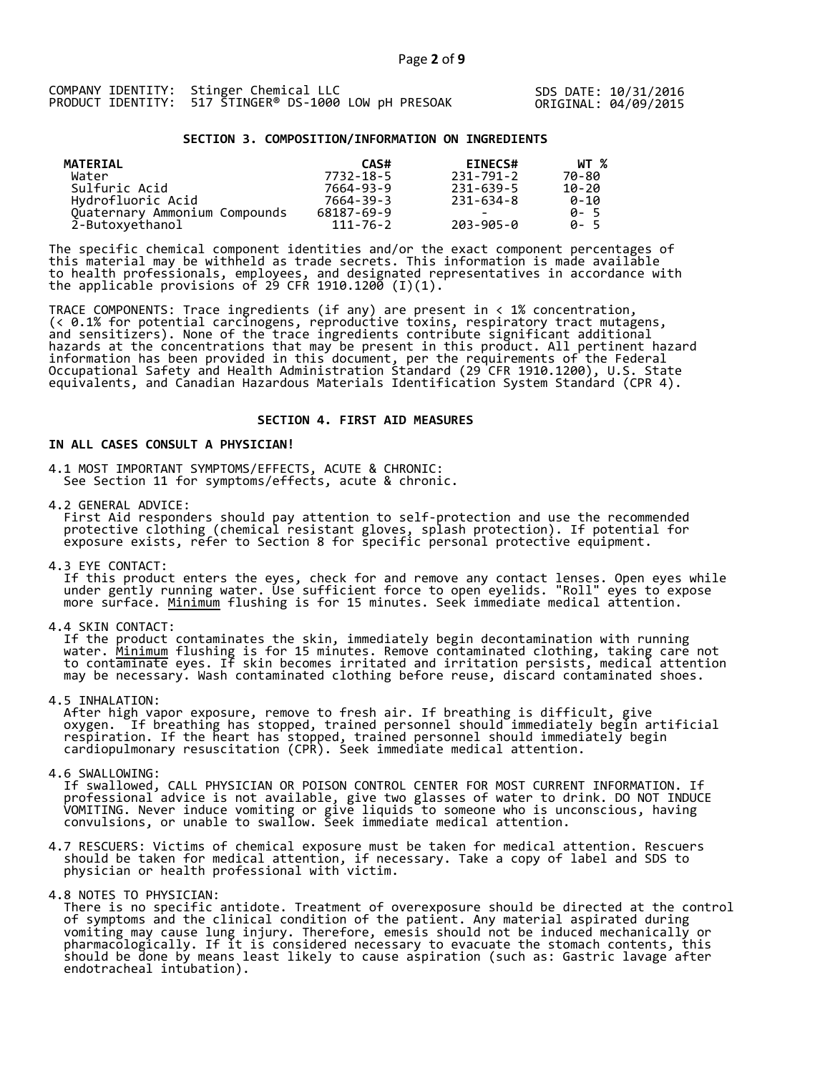SDS DATE: 10/31/2016 ORIGINAL: 04/09/2015

#### **SECTION 3. COMPOSITION/INFORMATION ON INGREDIENTS**

| <b>MATERIAL</b>               | CAS#           | <b>EINECS#</b> | WT %        |
|-------------------------------|----------------|----------------|-------------|
| Water                         | 7732-18-5      | 231-791-2      | 70-80       |
| Sulfuric Acid                 | 7664-93-9      | 231-639-5      | 10-20       |
| Hydrofluoric Acid             | 7664-39-3      | 231-634-8      | 0-10        |
| Ouaternary Ammonium Compounds | 68187-69-9     |                | 0- 5        |
| 2-Butoxyethanol               | $111 - 76 - 2$ | 203-905-0      | <b>A</b> -5 |

The specific chemical component identities and/or the exact component percentages of this material may be withheld as trade secrets. This information is made available to health professionals, employees, and designated representatives in accordance with the applicable provisions of 29 CFR 1910.1200  $(I)(1)$ .

TRACE COMPONENTS: Trace ingredients (if any) are present in < 1% concentration, (< 0.1% for potential carcinogens, reproductive toxins, respiratory tract mutagens, and sensitizers). None of the trace ingredients contribute significant additional hazards at the concentrations that may be present in this product. All pertinent hazard information has been provided in this document, per the requirements of the Federal Occupational Safety and Health Administration Standard (29 CFR 1910.1200), U.S. State<br>equivalents, and Canadian Hazardous Materials Identification System Standard (CPR 4).

#### **SECTION 4. FIRST AID MEASURES**

### **IN ALL CASES CONSULT A PHYSICIAN!**

4.1 MOST IMPORTANT SYMPTOMS/EFFECTS, ACUTE & CHRONIC: See Section 11 for symptoms/effects, acute & chronic.

4.2 GENERAL ADVICE:<br>First Aid responders should pay attention to self-protection and use the recommended protective clothing (chemical resistant gloves, splash protection). If potential for<br>exposure exists, refer to Section 8 for specific personal protective equipment.

4.3 EYE CONTACT:<br>If this product enters the eyes, check for and remove any contact lenses. Open eyes while<br>under gently running water. Use sufficient force to open eyelids. "Roll" eyes to expose<br>more surface. <u>Minimum</u> flu

4.4 SKIN CONTACT:<br>If the product contaminates the skin, immediately begin decontamination with running<br>water. <u>Minimum</u> flushing is for 15 minutes. Remove contaminated clothing, taking care not<br>to contaminate eyes. If skin

4.5 INHALATION:<br>After high vapor exposure, remove to fresh air. If breathing is difficult, give<br>oxygen. If breathing has stopped, trained personnel should immediately begin artificial<br>respiration. If the heart has stopped,

4.6 SWALLOWING:<br>If swallowed, CALL PHYSICIAN OR POISON CONTROL CENTER FOR MOST CURRENT INFORMATION. If<br>professional advice is not available, give two glasses of water to drink. DO NOT INDUCE<br>VOMITING. Never induce vomiting

4.7 RESCUERS: Victims of chemical exposure must be taken for medical attention. Rescuers should be taken for medical attention, if necessary. Take a copy of label and SDS to physician or health professional with victim.

4.8 NOTES TO PHYSICIAN:<br>There is no specific antidote. Treatment of overexposure should be directed at the control<br>of symptoms and the clinical condition of the patient. Any material aspirated during<br>vomiting may cause lun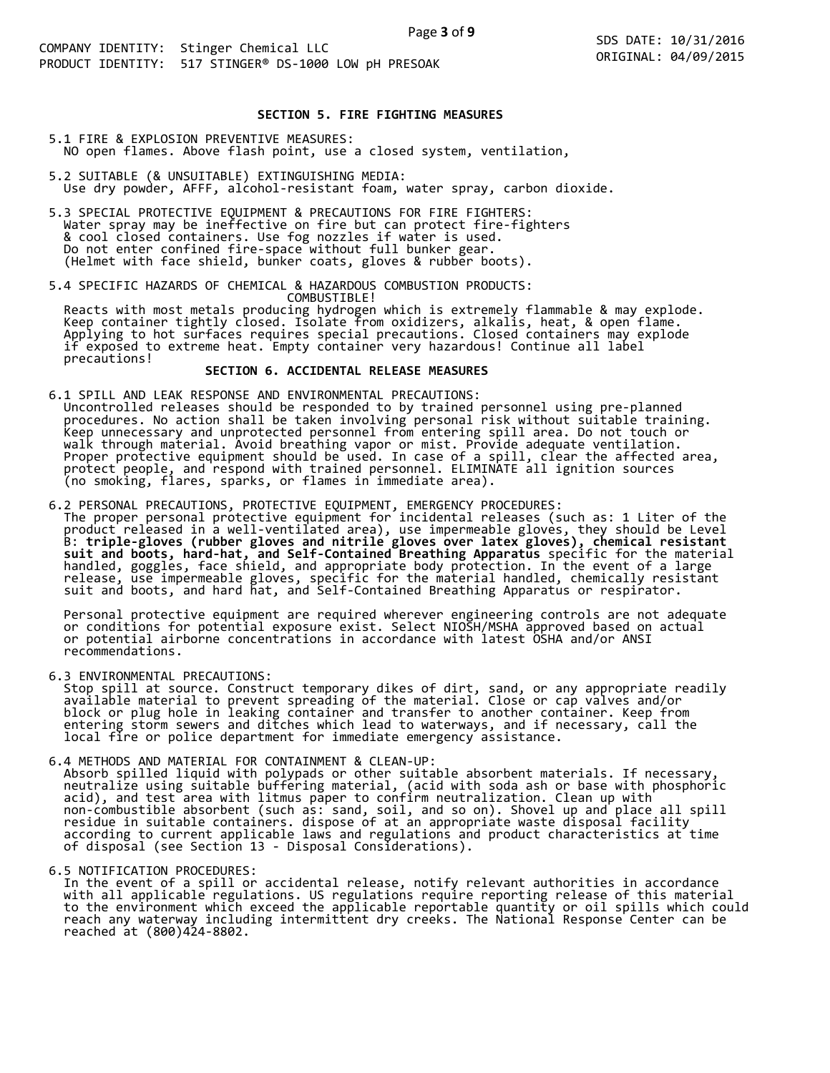### **SECTION 5. FIRE FIGHTING MEASURES**

- 5.1 FIRE & EXPLOSION PREVENTIVE MEASURES: NO open flames. Above flash point, use a closed system, ventilation,
- 5.2 SUITABLE (& UNSUITABLE) EXTINGUISHING MEDIA: Use dry powder, AFFF, alcohol-resistant foam, water spray, carbon dioxide.
- 5.3 SPECIAL PROTECTIVE EQUIPMENT & PRECAUTIONS FOR FIRE FIGHTERS:<br>Water spray may be ineffective on fire but can protect fire-fighters<br>& cool closed containers. Use fog nozzles if water is used.<br>Do not enter confined fire-

5.4 SPECIFIC HAZARDS OF CHEMICAL & HAZARDOUS COMBUSTION PRODUCTS:<br>
COMBUSTIBLE!<br>
Reacts with most metals producing hydrogen which is extremely flammable & may explode.<br>
Keep container tightly closed. Isolate from oxidizers

6.1 SPILL AND LEAK RESPONSE AND ENVIRONMENTAL PRECAUTIONS:<br>Uncontrolled releases should be responded to by trained personnel using pre-planned<br>procedures. No action shall be taken involving personal risk without suitable t

6.2 PERSONAL PRECAUTIONS, PROTECTIVE EQUIPMENT, EMERGENCY PROCEDURES:<br>The proper personal protective equipment for incidental releases (such as: 1 Liter of the<br>product released in a well-ventilated area), use impermeable g

Personal protective equipment are required wherever engineering controls are not adequate<br>or conditions for potential exposure exist. Select NIOSH/MSHA approved based on actual<br>or potential airborne concentrations in accor

6.3 ENVIRONMENTAL PRECAUTIONS:<br>Stop spill at source. Construct temporary dikes of dirt, sand, or any appropriate readily<br>available material to prevent spreading of the material. Close or cap valves and/or<br>block or plug hol

6.4 METHODS AND MATERIAL FOR CONTAINMENT & CLEAN-UP:<br>Absorb spilled liquid with polypads or other suitable absorbent materials. If necessary,<br>neutralize using suitable buffering material, (acid with soda ash or base with p

6.5 NOTIFICATION PROCEDURES:<br>In the event of a spill or accidental release, notify relevant authorities in accordance<br>with all applicable regulations. US regulations require reporting release of this material<br>to the enviro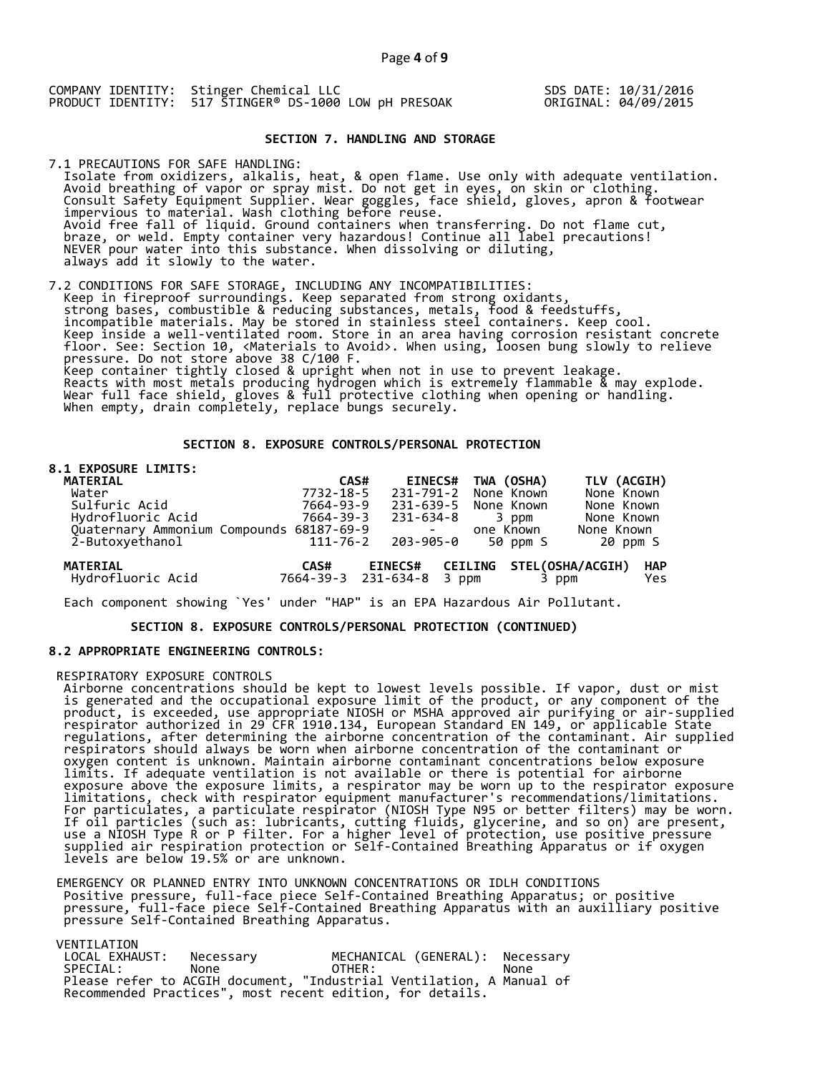SDS DATE: 10/31/2016 ORIGINAL: 04/09/2015

#### **SECTION 7. HANDLING AND STORAGE**

7.1 PRECAUTIONS FOR SAFE HANDLING: Isolate from oxidizers, alkalis, heat, & open flame. Use only with adequate ventilation. Avoid breathing of vapor or spray mist. Do not get in eyes, on skin or clothing.<br>Consult Safety Equipment Supplier. Wear goggles, face shield, gloves, apron & footwear<br>impervious to material. Wash clothing before reuse.<br>Av

7.2 CONDITIONS FOR SAFE STORAGE, INCLUDING ANY INCOMPATIBILITIES:<br>Keep in fireproof surroundings. Keep separated from strong oxidants,<br>strong bases, combustible & reducing substances, metals, food & feedstuffs,<br>incompatibl Neep Insue a well-ventilated room. Store in an area naving corrosion resistant concrete<br>floor. See: Section 10, <Materials to Avoid>. When using, loosen bung slowly to relieve<br>pressure. Do not store above 38 C/100 F.<br>Keep

### **SECTION 8. EXPOSURE CONTROLS/PERSONAL PROTECTION**

### **8.1 EXPOSURE LIMITS:**

| MATERIAL                                 | CAS#      |                      | <b>EINECS#</b> | TWA (OSHA) |          | TLV (ACGIH)              |            |
|------------------------------------------|-----------|----------------------|----------------|------------|----------|--------------------------|------------|
| Water                                    | 7732-18-5 | 231-791-2            |                | None Known |          | None Known               |            |
| Sulfuric Acid                            | 7664-93-9 | 231-639-5 None Known |                |            |          | None Known               |            |
| Hydrofluoric Acid                        | 7664-39-3 | 231-634-8            |                |            | 3 ppm    | None Known               |            |
| Quaternary Ammonium Compounds 68187-69-9 |           |                      |                | one Known  |          | None Known               |            |
| 2-Butoxyethanol                          | 111-76-2  | 203-905-0            |                |            | 50 ppm S | 20 ppm S                 |            |
| <b>MATERIAL</b>                          | CAS#      | <b>EINECS#</b>       |                |            |          | CEILING STEL(OSHA/ACGIH) | <b>HAP</b> |
| Hydrofluoric Acid                        |           | 7664-39-3 231-634-8  | 3 ppm          |            | 3 ppm    |                          | Yes        |

Each component showing `Yes' under "HAP" is an EPA Hazardous Air Pollutant.

 **SECTION 8. EXPOSURE CONTROLS/PERSONAL PROTECTION (CONTINUED)**

#### **8.2 APPROPRIATE ENGINEERING CONTROLS:**

RESPIRATORY EXPOSURE CONTROLS<br>
Airborne concentrations should be kept to lowest levels possible. If vapor, dust or mist<br>
Airborne concentrations should be kept to lowest levels possible. If vapor, dust or mist<br>
is generate

EMERGENCY OR PLANNED ENTRY INTO UNKNOWN CONCENTRATIONS OR IDLH CONDITIONS<br>Positive pressure, full-face piece Self-Contained Breathing Apparatus; or positive<br>pressure, full-face piece Self-Contained Breathing Apparatus with

VENTILATION

| LOCAL EXHAUST: | Necessarv                                                            | MECHANICAL (GENERAL): Necessary |      |  |
|----------------|----------------------------------------------------------------------|---------------------------------|------|--|
| SPECIAL:       | None                                                                 | OTHER:                          | None |  |
|                | Please refer to ACGIH document, "Industrial Ventilation, A Manual of |                                 |      |  |
|                | Recommended Practices", most recent edition, for details.            |                                 |      |  |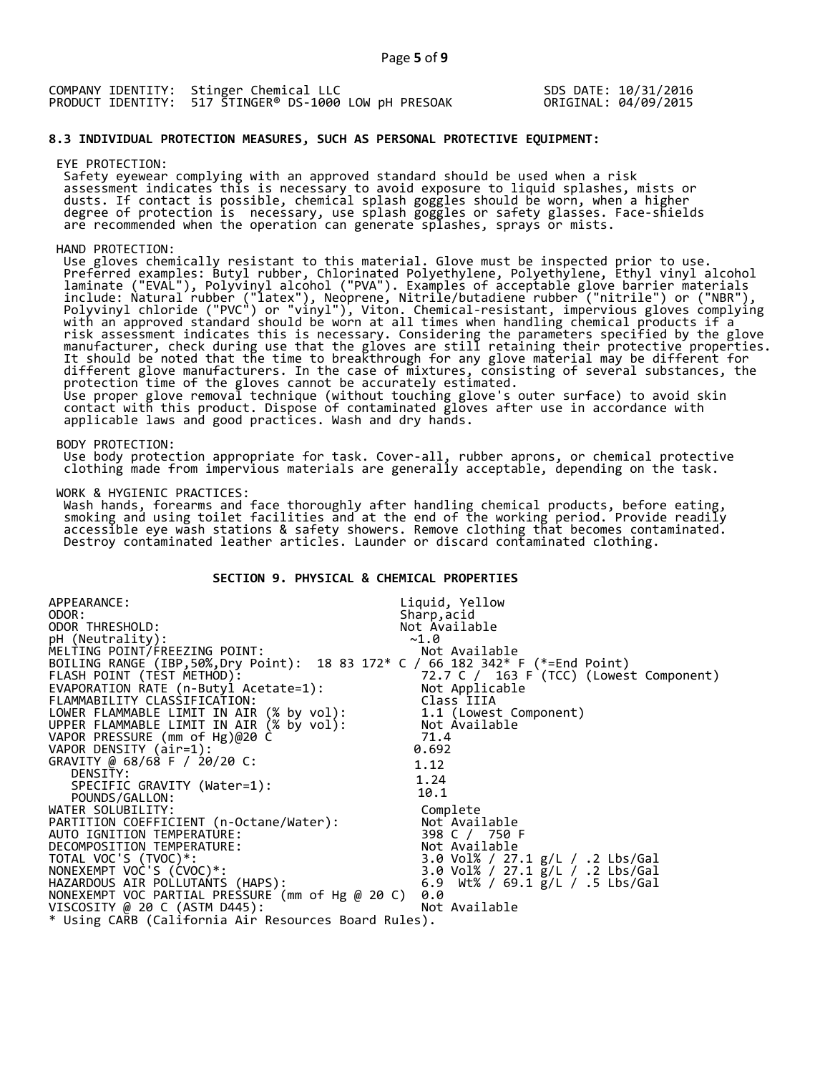| COMPANY IDENTITY: Stinger Chemical LLC                | SDS DATE: 10/31/2016 |
|-------------------------------------------------------|----------------------|
| PRODUCT IDENTITY: 517 STINGER® DS-1000 LOW DH PRESOAK | ORIGINAL: 04/09/2015 |

#### **8.3 INDIVIDUAL PROTECTION MEASURES, SUCH AS PERSONAL PROTECTIVE EQUIPMENT:**

EYE PROTECTION:<br>Safety eyewear complying with an approved standard should be used when a risk Safety eyewear complying with an approved standard should be used when a risk<br>assessment indicates this is necessary to avoid exposure to liquid splashes, mists or<br>dusts. If contact is possible, chemical splash goggles sho are recommended when the operation can generate splashes, sprays or mists.

HAND PROTECTION:<br>Use gloves chemically resistant to this material. Glove must be inspected prior to use. Use gloves chemically resistant to this material. Glove must be inspected prior to use.<br>Preferred examples: Butyl rubber, Chlorinated Polyethylene, Polyethylene, Ethyl vinyl alcohol<br>laminate ("EVAL"), Polyyinyl alcohol ("P different glove manufacturers. In the case of mixtures, consisting of several substances, the<br>protection time of the gloves cannot be accurately estimated.<br>Use proper glove removal technique (without touching glove's outer

BODY PROTECTION:<br>Use body protection appropriate for task. Cover-all, rubber aprons, or chemical protective<br>clothing made from impervious materials are generally acceptable, depending on the task.

WORK & HYGIENIC PRACTICES:

Wash hands, forearms and face thoroughly after handling chemical products, before eating,<br>smoking and using toilet facilities and at the end of the working period. Provide readily<br>accessible eye wash stations & safety show

# **SECTION 9. PHYSICAL & CHEMICAL PROPERTIES**

| APPEARANCE:                                                                     | Liquid, Yellow                               |
|---------------------------------------------------------------------------------|----------------------------------------------|
| ODOR:                                                                           | Sharp, acid                                  |
| ODOR THRESHOLD:                                                                 | Not Available                                |
| pH (Neutrality):                                                                | ~1.0                                         |
| MELTING POINT/FREEZING POINT:                                                   | Not Available                                |
| BOILING RANGE (IBP, 50%, Dry Point): 18 83 172* C / 66 182 342* F (*=End Point) |                                              |
| FLASH POINT (TEST METHOD):                                                      | 72.7 C / 163 F (TCC) (Lowest Component)      |
| EVAPORATION RATE (n-Butyl Acetate=1):                                           | Not Applicable                               |
| FLAMMABILITY CLASSIFICATION:                                                    | Class IIIA                                   |
| LOWER FLAMMABLE LIMIT IN AIR (% by vol):                                        | 1.1 (Lowest Component)                       |
| UPPER FLAMMABLE LIMIT IN AIR (% by vol):                                        | Not Available                                |
| VAPOR PRESSURE (mm of Hg)@20 C                                                  | 71.4                                         |
| VAPOR DENSITY (air=1):                                                          | 0.692                                        |
| GRAVITY @ 68/68 F / 20/20 C:                                                    | 1.12                                         |
| DENSITY:                                                                        | 1.24                                         |
| SPECIFIC GRAVITY (Water=1):                                                     | 10.1                                         |
| POUNDS/GALLON:                                                                  |                                              |
| WATER SOLUBILITY:                                                               | Complete                                     |
| PARTITION COEFFICIENT (n-Octane/Water):                                         | Not Available                                |
| AUTO IGNITION TEMPERATURE:                                                      | 398 C / 750 F                                |
| DECOMPOSITION TEMPERATURE:                                                      | Not Available                                |
| TOTAL VOC'S (TVOC)*:                                                            | 3.0 Vol% / 27.1 g/L / .2 Lbs/Gal             |
| NONEXEMPT VOC'S (CVOC)*:                                                        | 3.0 Vol% / 27.1 g/L / .2 Lbs/Gal             |
| HAZARDOUS AIR POLLUTANTS (HAPS):                                                | 6.9 Wt% / 69.1 $\frac{1}{2}$ /L / .5 Lbs/Gal |
| NONEXEMPT VOC PARTIAL PRESSURE (mm of Hg @ 20 C)                                | 0.0                                          |
| VISCOSITY @ 20 C (ASTM D445):                                                   | Not Available                                |
| * Using CARB (California Air Resources Board Rules).                            |                                              |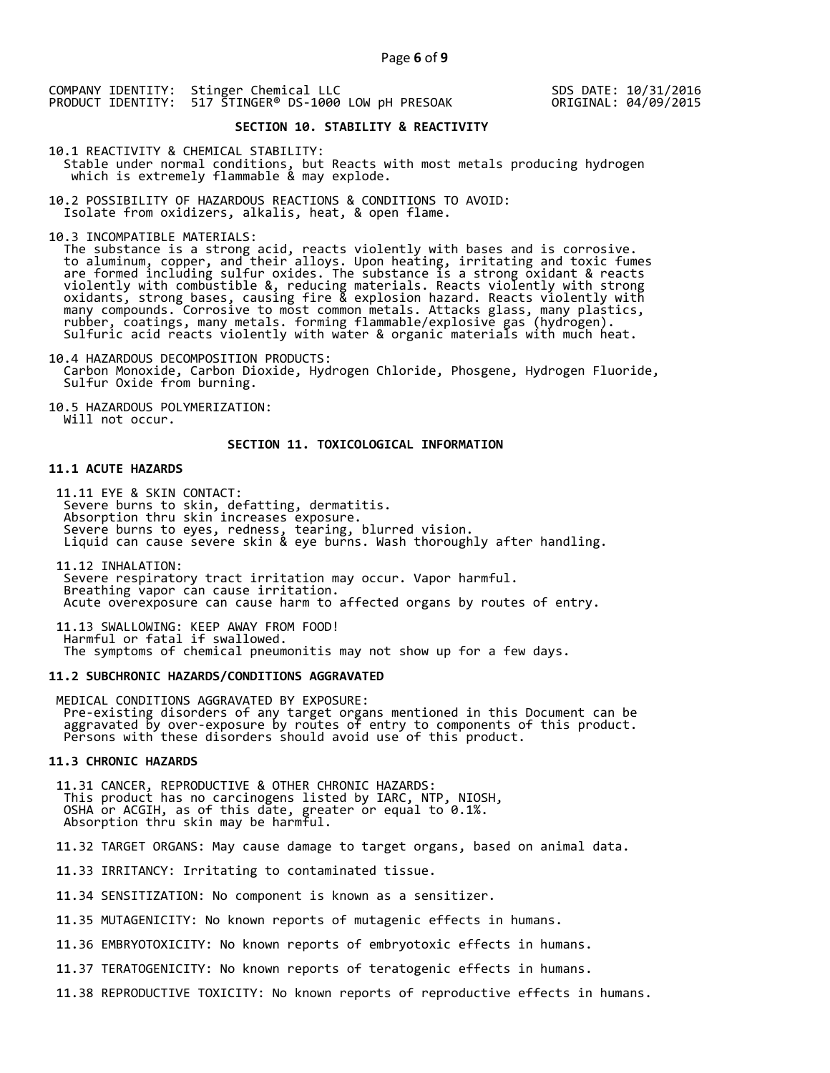SDS DATE: 10/31/2016 ORIGINAL: 04/09/2015

# **SECTION 10. STABILITY & REACTIVITY**

10.1 REACTIVITY & CHEMICAL STABILITY: Stable under normal conditions, but Reacts with most metals producing hydrogen which is extremely flammable & may explode.

10.2 POSSIBILITY OF HAZARDOUS REACTIONS & CONDITIONS TO AVOID: Isolate from oxidizers, alkalis, heat, & open flame.

10.3 INCOMPATIBLE MATERIALS:

The substance is a strong acid, reacts violently with bases and is corrosive.<br>to aluminum, copper, and their alloys. Upon heating, irritating and toxic fumes are formed including sulfur oxides. The substance is a strong oxidant & reacts violently with combustible &, reducing materials. Reacts violently with strong oxidants, strong bases, causing fire & explosion hazard. Reacts violently with many compounds. Corrosive to most common metals. Attacks glass, many plastics, rubber, coatings, many metals. forming flammable/explosive gas (hydrogen).<br>Sulfuric acid reacts violently with water & organic materials with much heat.

10.4 HAZARDOUS DECOMPOSITION PRODUCTS: Carbon Monoxide, Carbon Dioxide, Hydrogen Chloride, Phosgene, Hydrogen Fluoride, Sulfur Oxide from burning.

10.5 HAZARDOUS POLYMERIZATION: Will not occur.

#### **SECTION 11. TOXICOLOGICAL INFORMATION**

#### **11.1 ACUTE HAZARDS**

11.11 EYE & SKIN CONTACT:<br>Severe burns to skin, defatting, dermatitis.<br>Absorption thru skin increases exposure. Severe burns to eyes, redness, tearing, blurred vision.<br>Liquid can cause severe skin & eye burns. Wash thoroughly after handling.

11.12 INHALATION:<br>Severe respiratory tract irritation may occur. Vapor harmful.<br>Breathing vapor can cause irritation.<br>Acute overexposure can cause harm to affected organs by routes of entry.

11.13 SWALLOWING: KEEP AWAY FROM FOOD!<br>Harmful or fatal if swallowed.<br>The symptoms of chemical pneumonitis may not show up for a few days.

#### **11.2 SUBCHRONIC HAZARDS/CONDITIONS AGGRAVATED**

MEDICAL CONDITIONS AGGRAVATED BY EXPOSURE:<br>Pre-existing disorders of any target organs mentioned in this Document can be<br>aggravated by over-exposure by routes of entry to components of this product.<br>Persons with these diso

#### **11.3 CHRONIC HAZARDS**

11.31 CANCER, REPRODUCTIVE & OTHER CHRONIC HAZARDS:<br>This product has no carcinogens listed by IARC, NTP, NIOSH,<br>OSHA or ACGIH, as of this date, greater or equal to 0.1%.<br>Absorption thru skin may be harmful.

11.32 TARGET ORGANS: May cause damage to target organs, based on animal data.

11.33 IRRITANCY: Irritating to contaminated tissue.

11.34 SENSITIZATION: No component is known as a sensitizer.

11.35 MUTAGENICITY: No known reports of mutagenic effects in humans.

11.36 EMBRYOTOXICITY: No known reports of embryotoxic effects in humans.

11.37 TERATOGENICITY: No known reports of teratogenic effects in humans.

11.38 REPRODUCTIVE TOXICITY: No known reports of reproductive effects in humans.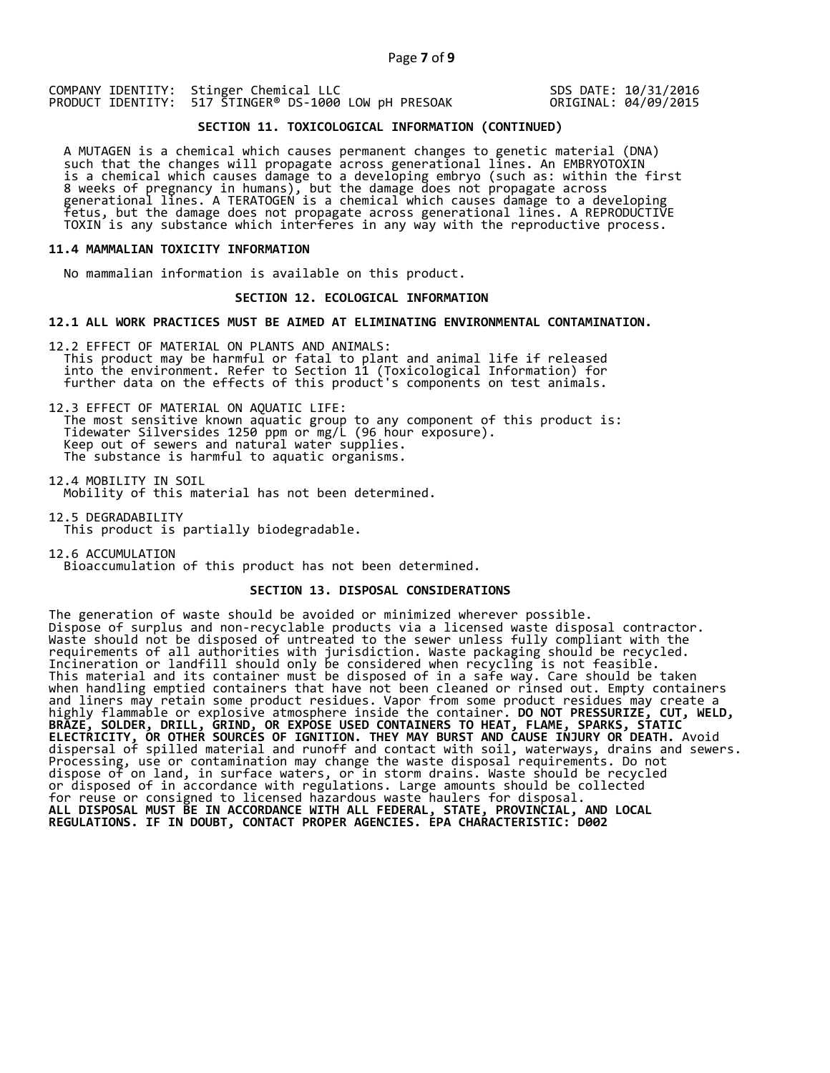SDS DATE: 10/31/2016 ORIGINAL: 04/09/2015

# **SECTION 11. TOXICOLOGICAL INFORMATION (CONTINUED)**

A MUTAGEN is a chemical which causes permanent changes to genetic material (DNA)<br>such that the changes will propagate across generational lines. An EMBRYOTOXIN<br>is a chemical which causes damage to a developing embryo (such

#### **11.4 MAMMALIAN TOXICITY INFORMATION**

No mammalian information is available on this product.

#### **SECTION 12. ECOLOGICAL INFORMATION**

#### **12.1 ALL WORK PRACTICES MUST BE AIMED AT ELIMINATING ENVIRONMENTAL CONTAMINATION.**

12.2 EFFECT OF MATERIAL ON PLANTS AND ANIMALS:<br>This product may be harmful or fatal to plant and animal life if released<br>into the environment. Refer to Section 11 (Toxicological Information) for<br>further data on the effects

12.3 EFFECT OF MATERIAL ON AQUATIC LIFE:<br>The most sensitive known aquatic group to any component of this product is:<br>Tidewater Silversides 1250 ppm or mg/L (96 hour exposure).<br>Keep out of sewers and natural water supplies.

12.4 MOBILITY IN SOIL Mobility of this material has not been determined.

12.5 DEGRADABILITY This product is partially biodegradable.

12.6 ACCUMULATION Bioaccumulation of this product has not been determined.

#### **SECTION 13. DISPOSAL CONSIDERATIONS**

The generation of waste should be avoided or minimized wherever possible. Dispose of surplus and non-recyclable products via a licensed waste disposal contractor. Waste should not be disposed of untreated to the sewer unless fully compliant with the requirements of all authorities with jurisdiction. Waste packaging should be recycled. Incineration or landfill should only be considered when recycling is not feasible. This material and its container must be disposed of in a safe way. Care should be taken when handling emptied containers that have not been cleaned or rinsed out. Empty containers and liners may retain some product residues. Vapor from some product residues may create a highly flammable or explosive atmosphere inside the container. **DO NOT PRESSURIZE, CUT, WELD, BRAZE, SOLDER, DRILL, GRIND, OR EXPOSE USED CONTAINERS TO HEAT, FLAME, SPARKS, STATIC ELECTRICITY, OR OTHER SOURCES OF IGNITION. THEY MAY BURST AND CAUSE INJURY OR DEATH.** Avoid dispersal of spilled material and runoff and contact with soil, waterways, drains and sewers. Processing, use or contamination may change the waste disposal requirements. Do not dispose of on land, in surface waters, or in storm drains. Waste should be recycled or disposed of in accordance with regulations. Large amounts should be collected for reuse or consigned to licensed hazardous waste haulers for disposal. **ALL DISPOSAL MUST BE IN ACCORDANCE WITH ALL FEDERAL, STATE, PROVINCIAL, AND LOCAL REGULATIONS. IF IN DOUBT, CONTACT PROPER AGENCIES. EPA CHARACTERISTIC: D002**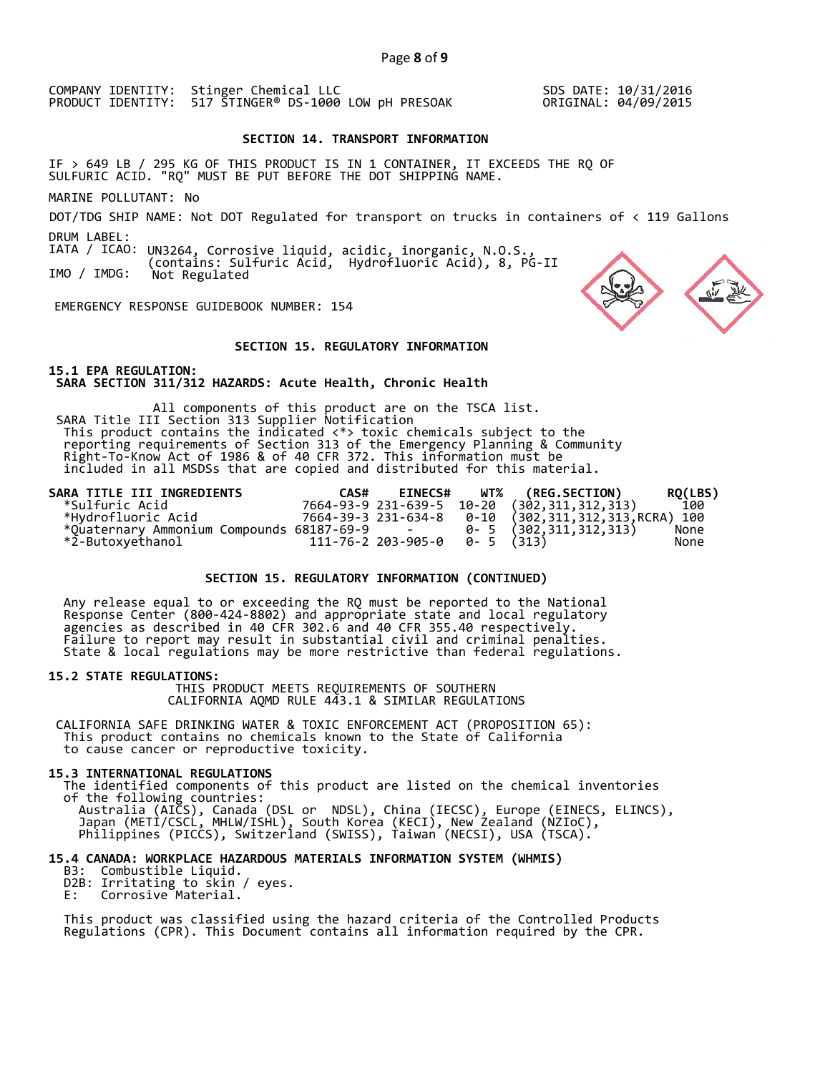SDS DATE: 10/31/2016 ORIGINAL: 04/09/2015

#### **SECTION 14. TRANSPORT INFORMATION**

IF > 649 LB / 295 KG OF THIS PRODUCT IS IN 1 CONTAINER, IT EXCEEDS THE RQ OF SULFURIC ACID. "RQ" MUST BE PUT BEFORE THE DOT SHIPPING NAME.

MARINE POLLUTANT: No

DOT/TDG SHIP NAME: Not DOT Regulated for transport on trucks in containers of < 119 Gallons DRUM LABEL:

IATA / ICAO: UN3264, Corrosive liquid, acidic, inorganic, N.O.S., IMO / IMDG: (contains: Sulfuric Acid, Hydrofluoric Acid), 8, PG-II Not Regulated

EMERGENCY RESPONSE GUIDEBOOK NUMBER: 154

#### **SECTION 15. REGULATORY INFORMATION**

**15.1 EPA REGULATION: SARA SECTION 311/312 HAZARDS: Acute Health, Chronic Health** 

All components of this product are on the TSCA list. SARA Title III Section 313 Supplier Notification This product contains the indicated  $\langle * \rangle$  toxic chemicals subject to the reporting requirements of Section 313 of the Emergency Planning & Community Right-To-Know Act of 1986 & of 40 CFR 372. This information must be in

| SARA TITLE III INGREDIENTS                  | CAS# | <b>EINECS#</b>                     | <b>WT% (REG.SECTION)</b>                    | RQ(LBS) |
|---------------------------------------------|------|------------------------------------|---------------------------------------------|---------|
| *Sulfuric Acid*                             |      |                                    | 7664-93-9 231-639-5 10-20 (302,311,312,313) | 100     |
| *Hvdrofluoric Acid*                         |      |                                    |                                             |         |
| *Ouaternary Ammonium Compounds 68187-69-9 - |      |                                    | $0 - 5$ (302, 311, 312, 313)                | None    |
| *2-Butoxvethanol                            |      | $111 - 76 - 2$ 203-905-0 0-5 (313) |                                             | None    |

# **SECTION 15. REGULATORY INFORMATION (CONTINUED)**

Any release equal to or exceeding the RQ must be reported to the National<br>Response Center (800-424-8802) and appropriate state and local regulatory<br>agencies as described in 40 CFR 302.6 and 40 CFR 355.40 respectively.<br>Fail

**15.2 STATE REGULATIONS:** THIS PRODUCT MEETS REQUIREMENTS OF SOUTHERN CALIFORNIA AQMD RULE 443.1 & SIMILAR REGULATIONS

CALIFORNIA SAFE DRINKING WATER & TOXIC ENFORCEMENT ACT (PROPOSITION 65): This product contains no chemicals known to the State of California to cause cancer or reproductive toxicity.

**15.3 INTERNATIONAL REGULATIONS**<br>The identified components of this product are listed on the chemical inventories<br>of the following countries:<br>Australia (AICS), Canada (DSL or NDSL), China (IECSC), Europe (EINECS, ELINCS),<br>

# **15.4 CANADA: WORKPLACE HAZARDOUS MATERIALS INFORMATION SYSTEM (WHMIS)**

- D2B: Irritating to skin / eyes.<br>E: Corrosive Material.
- 

This product was classified using the hazard criteria of the Controlled Products<br>Regulations (CPR). This Document contains all information required by the CPR.